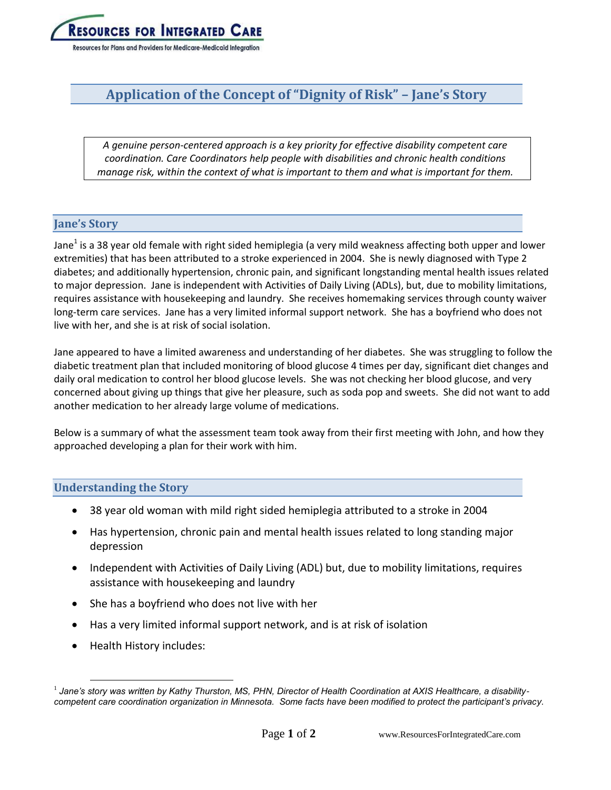

# **Application of the Concept of "Dignity of Risk" – Jane's Story**

*A genuine person-centered approach is a key priority for effective disability competent care coordination. Care Coordinators help people with disabilities and chronic health conditions manage risk, within the context of what is important to them and what is important for them.*

## **Jane's Story**

Jane<sup>1</sup> is a 38 year old female with right sided hemiplegia (a very mild weakness affecting both upper and lower extremities) that has been attributed to a stroke experienced in 2004. She is newly diagnosed with Type 2 diabetes; and additionally hypertension, chronic pain, and significant longstanding mental health issues related to major depression. Jane is independent with Activities of Daily Living (ADLs), but, due to mobility limitations, requires assistance with housekeeping and laundry. She receives homemaking services through county waiver long-term care services. Jane has a very limited informal support network. She has a boyfriend who does not live with her, and she is at risk of social isolation.

Jane appeared to have a limited awareness and understanding of her diabetes. She was struggling to follow the diabetic treatment plan that included monitoring of blood glucose 4 times per day, significant diet changes and daily oral medication to control her blood glucose levels. She was not checking her blood glucose, and very concerned about giving up things that give her pleasure, such as soda pop and sweets. She did not want to add another medication to her already large volume of medications.

Below is a summary of what the assessment team took away from their first meeting with John, and how they approached developing a plan for their work with him.

## **Understanding the Story**

- 38 year old woman with mild right sided hemiplegia attributed to a stroke in 2004
- Has hypertension, chronic pain and mental health issues related to long standing major depression
- Independent with Activities of Daily Living (ADL) but, due to mobility limitations, requires assistance with housekeeping and laundry
- She has a boyfriend who does not live with her
- Has a very limited informal support network, and is at risk of isolation
- Health History includes:

 $\overline{a}$ 

<sup>1</sup> *Jane's story was written by Kathy Thurston, MS, PHN, Director of Health Coordination at AXIS Healthcare, a disabilitycompetent care coordination organization in Minnesota. Some facts have been modified to protect the participant's privacy.*